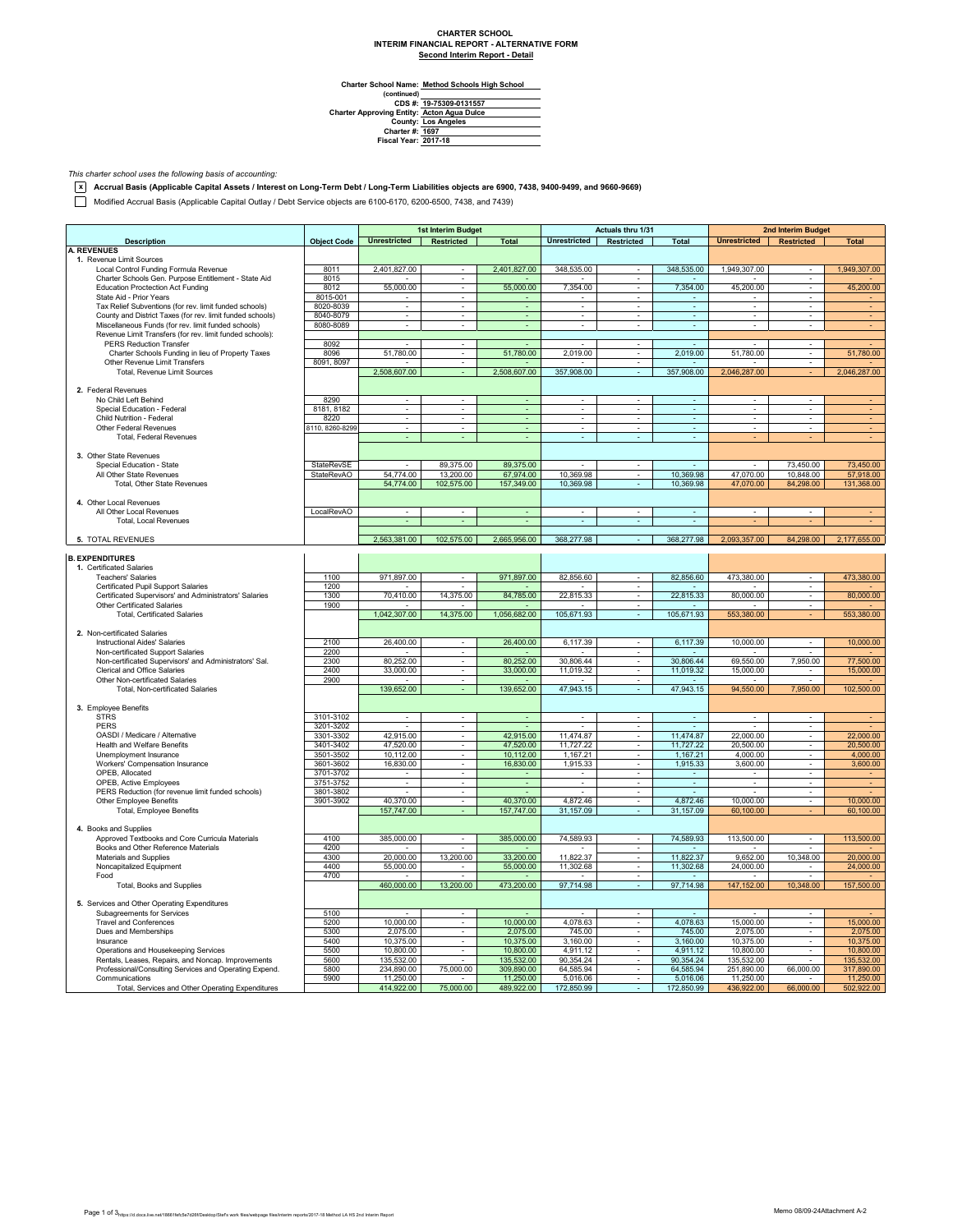## **CHARTER SCHOOL INTERIM FINANCIAL REPORT - ALTERNATIVE FORM Second Interim Report - Detail**

 $\overline{\phantom{0}}$ 

**Method Schools High School**

Charter School Name<br>
(continued)<br>
CDS #:<br>
Charter Approving Entity:<br>
County:<br>
Charter #:<br>
Fiscal Year: **19-75309-0131557 Acton Agua Dulce Los Angeles 1697 2017-18**

*This charter school uses the following basis of accounting:*

**x Accrual Basis (Applicable Capital Assets / Interest on Long-Term Debt / Long-Term Liabilities objects are 6900, 7438, 9400-9499, and 9660-9669)**

Modified Accrual Basis (Applicable Capital Outlay / Debt Service objects are 6100-6170, 6200-6500, 7438, and 7439)

|                                                           |                    |                          | 1st Interim Budget          |                |                          | Actuals thru 1/31        |                             |                           | <b>2nd Interim Budget</b> |                |
|-----------------------------------------------------------|--------------------|--------------------------|-----------------------------|----------------|--------------------------|--------------------------|-----------------------------|---------------------------|---------------------------|----------------|
| <b>Description</b>                                        | <b>Object Code</b> | Unrestricted Restricted  |                             | <b>Total</b>   | Unrestricted Restricted  |                          | <b>Total</b>                | Unrestricted   Restricted |                           | <b>Total</b>   |
| <b>A. REVENUES</b>                                        |                    |                          |                             |                |                          |                          |                             |                           |                           |                |
| 1. Revenue Limit Sources                                  |                    |                          |                             |                |                          |                          |                             |                           |                           |                |
| Local Control Funding Formula Revenue                     | 8011               | 2,401,827.00             |                             | 2,401,827.00   | 348,535.00               |                          | 348,535.00                  | 1,949,307.00              |                           | 1,949,307.00   |
| Charter Schools Gen. Purpose Entitlement - State Aid      | 8015               |                          | $\blacksquare$              |                |                          | $\overline{\phantom{a}}$ |                             |                           | ×                         |                |
| <b>Education Proctection Act Funding</b>                  | 8012               | 55,000.00                | $\mathcal{L}_{\mathcal{A}}$ | 55,000.00      | 7,354.00                 | $\sim$                   | 7,354.00                    | 45,200.00                 | ×.                        | 45,200.00      |
| State Aid - Prior Years                                   | 8015-001           |                          |                             |                |                          | $\overline{\phantom{a}}$ |                             |                           | $\blacksquare$            |                |
| Tax Relief Subventions (for rev. limit funded schools)    | 8020-8039          | $\overline{\phantom{a}}$ | $\overline{\phantom{a}}$    | $\blacksquare$ | $\overline{\phantom{a}}$ | $\overline{\phantom{a}}$ | $\omega$                    | $\overline{\phantom{a}}$  | $\overline{\phantom{a}}$  | $\blacksquare$ |
| County and District Taxes (for rev. limit funded schools) | 8040-8079          | $\overline{\phantom{a}}$ |                             | ÷              | $\overline{\phantom{a}}$ | $\overline{\phantom{a}}$ | $\overline{\phantom{a}}$    | $\overline{\phantom{a}}$  | ÷                         |                |
| Miscellaneous Funds (for rev. limit funded schools)       | 8080-8089          | ÷                        |                             | ä,             | $\mathbf{r}$             |                          | $\omega$                    |                           | ÷                         |                |
| Revenue Limit Transfers (for rev. limit funded schools):  |                    |                          |                             |                |                          |                          |                             |                           |                           |                |
| <b>PERS Reduction Transfer</b>                            | 8092               | ÷.                       | $\omega$                    |                | $\mathbf{r}$             | $\omega$                 |                             |                           | $\sim$                    |                |
| Charter Schools Funding in lieu of Property Taxes         | 8096               | 51,780.00                | $\overline{\phantom{a}}$    | 51,780.00      | 2,019.00                 | $\sim$                   | 2,019.00                    | 51,780.00                 | $\overline{\phantom{a}}$  | 51,780.00      |
| Other Revenue Limit Transfers                             | 8091, 8097         |                          | $\sim$                      |                |                          | $\sim$                   |                             |                           | $\sim$                    |                |
| Total, Revenue Limit Sources                              |                    | 2,508,607.00             |                             | 2,508,607.00   | 357,908.00               | ÷.                       | 357,908.00                  | 2,046,287.00              |                           | 2,046,287.00   |
|                                                           |                    |                          |                             |                |                          |                          |                             |                           |                           |                |
| 2. Federal Revenues                                       |                    |                          |                             |                |                          |                          |                             |                           |                           |                |
| No Child Left Behind                                      | 8290               | ÷.                       |                             |                | ÷.                       | ÷                        | ÷.                          |                           | $\sim$                    |                |
| Special Education - Federal                               | 8181, 8182         | $\overline{\phantom{a}}$ | $\overline{\phantom{a}}$    | $\sim$         | $\overline{\phantom{a}}$ | $\overline{\phantom{a}}$ | $\overline{\phantom{a}}$    | $\overline{\phantom{a}}$  | $\overline{\phantom{a}}$  |                |
| Child Nutrition - Federal                                 | 8220               | $\overline{\phantom{a}}$ | $\sim$                      |                | $\overline{\phantom{a}}$ | $\overline{\phantom{a}}$ | $\overline{\phantom{a}}$    | $\blacksquare$            | $\sim$                    |                |
| Other Federal Revenues                                    | 8110, 8260-8299    |                          |                             |                |                          |                          | $\mathcal{L}_{\mathcal{A}}$ |                           |                           |                |
| Total, Federal Revenues                                   |                    |                          |                             | ä,             | ÷.                       | ÷.                       | ÷.                          |                           |                           |                |
|                                                           |                    |                          |                             |                |                          |                          |                             |                           |                           |                |
| 3. Other State Revenues                                   |                    |                          |                             |                |                          |                          |                             |                           |                           |                |
| Special Education - State                                 | StateRevSE         | $\sim$                   | 89,375.00                   | 89,375.00      | $\sim$                   |                          | $\sim$                      |                           | 73,450.00                 | 73,450.00      |
| All Other State Revenues                                  | StateRevAO         | 54,774.00                | 13,200.00                   | 67,974.00      | 10,369.98                |                          | 10,369.98                   | 47,070.00                 | 10,848.00                 | 57,918.00      |
| Total, Other State Revenues                               |                    | 54,774.00                | 102,575.00                  | 157,349.00     | 10,369.98                |                          | 10,369.98                   | 47,070.00                 | 84,298.00                 | 131,368.00     |
|                                                           |                    |                          |                             |                |                          |                          |                             |                           |                           |                |
| 4. Other Local Revenues                                   |                    |                          |                             |                |                          |                          |                             |                           |                           |                |
| All Other Local Revenues                                  |                    |                          |                             |                |                          |                          |                             |                           |                           |                |
| <b>Total, Local Revenues</b>                              | LocalRevAO         | $\overline{\phantom{a}}$ |                             |                | $\overline{\phantom{a}}$ | $\overline{\phantom{a}}$ |                             |                           |                           |                |
|                                                           |                    |                          |                             |                |                          |                          |                             |                           |                           |                |
|                                                           |                    |                          |                             |                |                          |                          |                             |                           |                           |                |
| 5. TOTAL REVENUES                                         |                    | 2,563,381.00             | 102,575.00                  | 2,665,956.00   | 368,277.98               | ÷.                       | 368,277.98                  | 2.093.357.00              | 84.298.00                 | 2.177,655.00   |
|                                                           |                    |                          |                             |                |                          |                          |                             |                           |                           |                |
| <b>B. EXPENDITURES</b>                                    |                    |                          |                             |                |                          |                          |                             |                           |                           |                |
| 1. Certificated Salaries                                  |                    |                          |                             |                |                          |                          |                             |                           |                           |                |
| <b>Teachers' Salaries</b>                                 | 1100               | 971,897.00               | ÷.                          | 971,897.00     | 82,856.60                |                          | 82,856.60                   | 473,380.00                | ÷                         | 473,380.00     |
| Certificated Pupil Support Salaries                       | 1200               |                          |                             |                |                          | $\overline{\phantom{a}}$ |                             |                           | $\overline{\phantom{a}}$  |                |
| Certificated Supervisors' and Administrators' Salaries    | 1300               | 70,410.00                | 14,375.00                   | 84,785.00      | 22,815.33                | $\sim$                   | 22,815.33                   | 80,000.00                 | ×                         | 80,000.00      |
| Other Certificated Salaries                               | 1900               |                          |                             |                |                          | $\overline{\phantom{a}}$ |                             |                           |                           |                |
| <b>Total, Certificated Salaries</b>                       |                    | 1,042,307.00             | 14,375.00                   | 1,056,682.00   | 105,671.93               | $\overline{\phantom{a}}$ | 105,671.93                  | 553,380.00                |                           | 553,380.00     |
|                                                           |                    |                          |                             |                |                          |                          |                             |                           |                           |                |
| 2. Non-certificated Salaries                              |                    |                          |                             |                |                          |                          |                             |                           |                           |                |
| Instructional Aides' Salaries                             | 2100               | 26,400.00                | $\sim$                      | 26,400.00      | 6,117.39                 | $\sim$                   | 6,117.39                    | 10,000.00                 | $\overline{\phantom{a}}$  | 10,000.00      |
| Non-certificated Support Salaries                         | 2200               |                          | ÷.                          |                |                          | $\overline{\phantom{a}}$ |                             |                           |                           |                |
| Non-certificated Supervisors' and Administrators' Sal.    | 2300               | 80,252.00                | $\sim$                      | 80,252.00      | 30,806.44                | $\sim$                   | 30,806.44                   | 69,550.00                 | 7,950.00                  | 77,500.00      |
| Clerical and Office Salaries                              | 2400               | 33,000.00                | $\overline{\phantom{a}}$    | 33,000.00      | 11,019.32                | $\overline{\phantom{a}}$ | 11,019.32                   | 15,000.00                 |                           | 15,000.00      |
| Other Non-certificated Salaries                           | 2900               |                          |                             |                |                          |                          |                             |                           |                           |                |
| Total, Non-certificated Salaries                          |                    | 139,652.00               |                             | 139,652.00     | 47,943.15                | ÷.                       | 47,943.15                   | 94,550.00                 | 7,950.00                  | 102,500.00     |
|                                                           |                    |                          |                             |                |                          |                          |                             |                           |                           |                |
| 3. Employee Benefits                                      |                    |                          |                             |                |                          |                          |                             |                           |                           |                |
| <b>STRS</b>                                               | 3101-3102          | $\overline{\phantom{a}}$ | $\overline{\phantom{a}}$    | $\blacksquare$ | $\overline{\phantom{a}}$ | $\overline{\phantom{a}}$ | $\overline{\phantom{a}}$    | $\overline{\phantom{a}}$  | $\overline{\phantom{a}}$  |                |
| PERS                                                      | 3201-3202          |                          | $\overline{\phantom{a}}$    |                |                          | ٠                        |                             |                           | $\overline{\phantom{a}}$  |                |
| OASDI / Medicare / Alternative                            | 3301-3302          | 42,915.00                |                             | 42,915.00      | 11,474.87                |                          | 11,474.87                   | 22,000.00                 | ä,                        | 22,000.00      |
| <b>Health and Welfare Benefits</b>                        | 3401-3402          | 47,520.00                | $\sim$                      | 47,520.00      | 11,727.22                | $\mathbf{r}$             | 11,727.22                   | 20,500.00                 | ÷.                        | 20,500.00      |
| Unemployment Insurance                                    | 3501-3502          | 10,112.00                | $\mathbf{r}$                | 10,112.00      | 1,167.21                 | $\mathbf{r}$             | 1,167.21                    | 4,000.00                  | $\overline{\phantom{a}}$  | 4,000.00       |
| Workers' Compensation Insurance                           | 3601-3602          | 16,830.00                | $\overline{\phantom{a}}$    | 16,830.00      | 1,915.33                 | $\sim$                   | 1,915.33                    | 3,600.00                  | $\overline{\phantom{a}}$  | 3,600.00       |
| OPEB, Allocated                                           | 3701-3702          | $\sim$                   | $\sim$                      | ÷              | $\overline{\phantom{a}}$ | $\sim$                   | $\sim$                      | $\overline{\phantom{a}}$  | $\sim$                    |                |
| OPEB, Active Employees                                    | 3751-3752          |                          |                             |                | $\blacksquare$           |                          |                             |                           |                           |                |
| PERS Reduction (for revenue limit funded schools)         | 3801-3802          |                          | $\bar{\phantom{a}}$         |                | $\blacksquare$           | $\blacksquare$           |                             |                           | ×                         |                |
| Other Employee Benefits                                   | 3901-3902          | 40,370.00                | τ                           | 40,370.00      | 4,872.46                 | ÷                        | 4,872.46                    | 10,000.00                 | τ                         | 10,000.00      |
|                                                           |                    | 157,747.00               | ÷                           | 157,747.00     | 31,157.09                | $\sim$                   | 31,157.09                   | 60,100.00                 |                           | 60,100.00      |
| Total, Employee Benefits                                  |                    |                          |                             |                |                          |                          |                             |                           |                           |                |
| 4. Books and Supplies                                     |                    |                          |                             |                |                          |                          |                             |                           |                           |                |
|                                                           |                    |                          |                             |                |                          |                          |                             |                           |                           |                |
| Approved Textbooks and Core Curricula Materials           | 4100               | 385,000.00               | $\overline{\phantom{a}}$    | 385,000.00     | 74,589.93                | $\sim$                   | 74,589.93                   | 113,500.00                | $\sim$                    | 113,500.00     |
| Books and Other Reference Materials                       | 4200               |                          |                             |                |                          | $\alpha$                 |                             |                           |                           |                |
| Materials and Supplies                                    | 4300               | 20,000.00                | 13,200.00                   | 33,200.00      | 11,822.37                | $\sim$                   | 11,822.37                   | 9,652.00                  | 10,348.00                 | 20,000.00      |
| Noncapitalized Equipment                                  | 4400               | 55,000.00                | $\overline{\phantom{a}}$    | 55,000.00      | 11,302.68                | $\overline{\phantom{a}}$ | 11,302.68                   | 24,000.00                 | $\overline{\phantom{a}}$  | 24,000.00      |
| Food                                                      | 4700               |                          |                             |                |                          | $\sim$                   |                             |                           |                           |                |
| Total, Books and Supplies                                 |                    | 460,000.00               | 13,200.00                   | 473,200.00     | 97,714.98                |                          | 97,714.98                   | 147,152.00                | 10,348.00                 | 157,500.00     |
|                                                           |                    |                          |                             |                |                          |                          |                             |                           |                           |                |
| 5. Services and Other Operating Expenditures              |                    |                          |                             |                |                          |                          |                             |                           |                           |                |
| Subagreements for Services                                | 5100               |                          | $\mathcal{L}_{\mathcal{A}}$ |                |                          | $\sim$                   |                             |                           | $\sim$                    |                |
| <b>Travel and Conferences</b>                             | 5200               | 10,000.00                | $\overline{\phantom{a}}$    | 10,000.00      | 4,078.63                 | ٠                        | 4,078.63                    | 15,000.00                 | $\overline{\phantom{a}}$  | 15,000.00      |
| Dues and Memberships                                      | 5300               | 2,075.00                 |                             | 2,075.00       | 745.00                   |                          | 745.00                      | 2,075.00                  | $\overline{\phantom{a}}$  | 2,075.00       |
| Insurance                                                 | 5400               | 10,375.00                |                             | 10,375.00      | 3,160.00                 | $\overline{\phantom{a}}$ | 3,160.00                    | 10,375.00                 | ×                         | 10,375.00      |
| Operations and Housekeeping Services                      | 5500               | 10,800.00                | $\sim$                      | 10,800.00      | 4.911.12                 | $\sim$                   | 4.911.12                    | 10,800.00                 | ×.                        | 10,800.00      |
| Rentals, Leases, Repairs, and Noncap. Improvements        | 5600               | 135,532.00               |                             | 135,532.00     | 90,354.24                | $\blacksquare$           | 90,354.24                   | 135,532.00                |                           | 135,532.00     |
| Professional/Consulting Services and Operating Expend.    | 5800               | 234,890.00               | 75,000.00                   | 309,890.00     | 64,585.94                | $\overline{\phantom{a}}$ | 64,585.94                   | 251,890.00                | 66,000.00                 | 317,890.00     |
| Communications                                            | 5900               | 11,250.00                |                             | 11,250.00      | 5,016.06                 | ٠                        | 5,016.06                    | 11,250.00                 |                           | 11,250.00      |
| Total, Services and Other Operating Expenditures          |                    | 414,922.00               | 75,000.00                   | 489,922.00     | 172,850.99               |                          | 172,850.99                  | 436,922.00                | 66,000.00                 | 502,922.00     |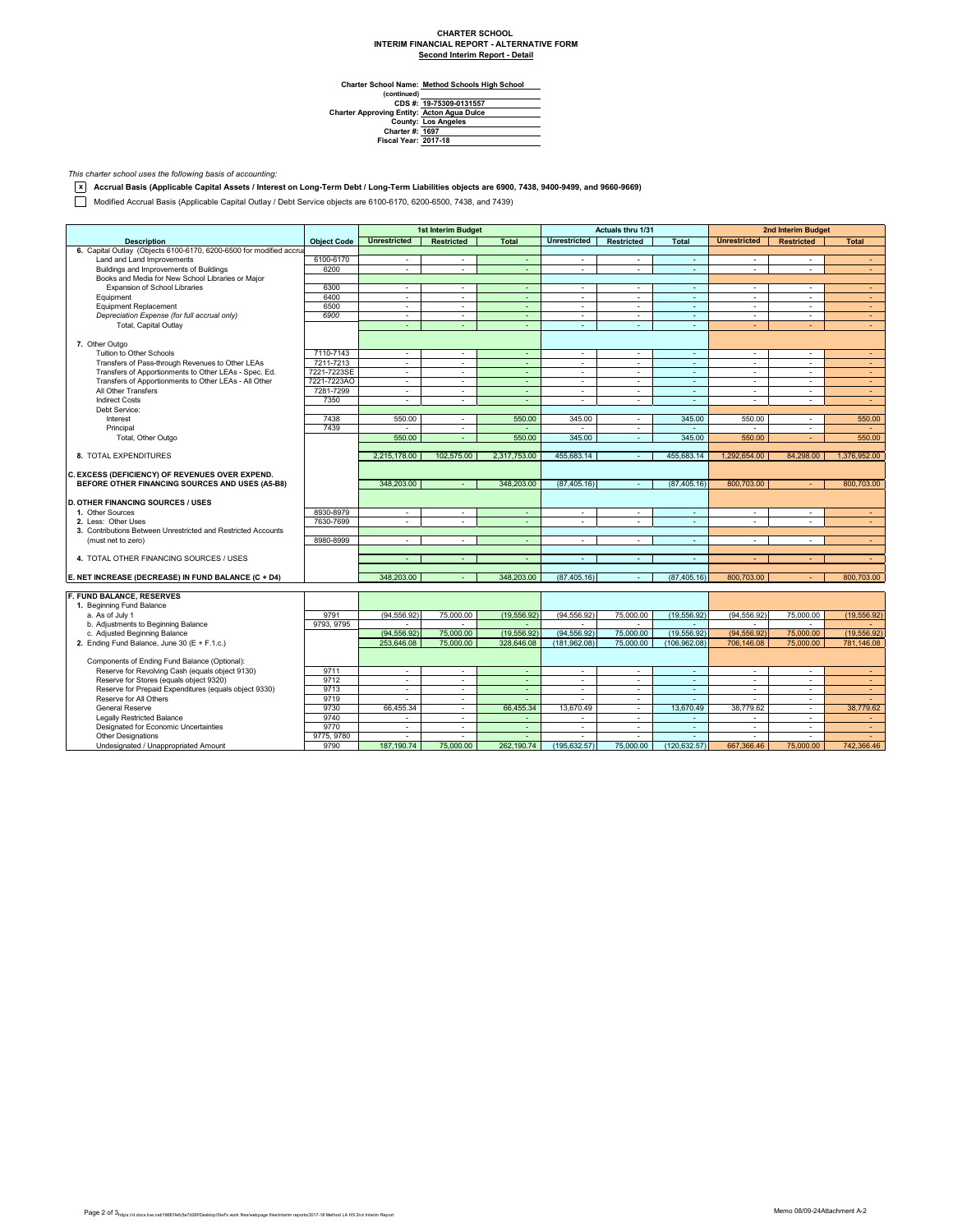## **CHARTER SCHOOL INTERIM FINANCIAL REPORT - ALTERNATIVE FORM Second Interim Report - Detail**

**Method Schools High School**

Charter School Name<br>
(continued)<br>
CDS #:<br>
Charter Approving Entity:<br>
County:<br>
Charter #:<br>
Fiscal Year: **19-75309-0131557 Acton Agua Dulce Los Angeles 1697 2017-18**

*This charter school uses the following basis of accounting:*

**x Accrual Basis (Applicable Capital Assets / Interest on Long-Term Debt / Long-Term Liabilities objects are 6900, 7438, 9400-9499, and 9660-9669)**

Modified Accrual Basis (Applicable Capital Outlay / Debt Service objects are 6100-6170, 6200-6500, 7438, and 7439)

|                                                                     |                    |                     | <b>1st Interim Budget</b> |                          |                          | <b>Actuals thru 1/31</b> |                          |                          | <b>2nd Interim Budget</b> |                  |
|---------------------------------------------------------------------|--------------------|---------------------|---------------------------|--------------------------|--------------------------|--------------------------|--------------------------|--------------------------|---------------------------|------------------|
| <b>Description</b>                                                  | <b>Object Code</b> | <b>Unrestricted</b> | <b>Restricted</b>         | <b>Total</b>             | <b>Unrestricted</b>      | <b>Restricted</b>        | <b>Total</b>             | <b>Unrestricted</b>      | <b>Restricted</b>         | <b>Total</b>     |
| 6. Capital Outlay (Objects 6100-6170, 6200-6500 for modified accrua |                    |                     |                           |                          |                          |                          |                          |                          |                           |                  |
| Land and Land Improvements                                          | 6100-6170          | $\sim$              | $\sim$                    | ÷.                       | $\overline{\phantom{a}}$ | $\sim$                   | $\omega$                 | $\overline{\phantom{a}}$ | ٠                         | $\sim$           |
| Buildings and Improvements of Buildings                             | 6200               | $\sim$              | $\sim$                    | $\sim$                   | $\sim$                   | $\sim$                   | $\sim$                   | $\blacksquare$           | ٠                         | $\sim$           |
| Books and Media for New School Libraries or Major                   |                    |                     |                           |                          |                          |                          |                          |                          |                           |                  |
| Expansion of School Libraries                                       | 6300               | $\sim$              | in 1999.                  | $\sim$                   | $\sim$                   | in 1919.                 | $\sim$                   | $\sim$                   | ÷                         | $\sim$           |
| Equipment                                                           | 6400               | $\sim$              | $\sim$                    | $\sim$                   | $\sim$                   | $\sim$                   | $\mathbf{r}$             | $\blacksquare$           | ٠                         | $\sim$           |
| <b>Equipment Replacement</b>                                        | 6500               | $\sim$              | $\sim$                    | $\sim$                   | $\overline{\phantom{a}}$ | $\sim$                   | $\sim$                   | $\overline{\phantom{a}}$ | $\overline{\phantom{a}}$  | $\omega_{\rm c}$ |
| Depreciation Expense (for full accrual only)                        | 6900               | ÷.                  | ÷.                        | $\blacksquare$           | ÷                        | $\sim$                   | ÷.                       | $\blacksquare$           | ÷                         | $\sim$           |
| Total, Capital Outlay                                               |                    | $\sim$              | $\sim$                    | $\sim$                   | $\sim$                   | $\sim$                   | $\sim$                   | ÷                        | $\overline{\phantom{a}}$  | $\sim$           |
|                                                                     |                    |                     |                           |                          |                          |                          |                          |                          |                           |                  |
| 7. Other Outgo                                                      |                    |                     |                           |                          |                          |                          |                          |                          |                           |                  |
| Tuition to Other Schools                                            | 7110-7143          | $\sim$              | $\sim$                    | ÷                        | $\sim$                   | $\sim$                   | $\sim$                   | $\sim$                   | $\mathbf{r}$              | $\sim$           |
| Transfers of Pass-through Revenues to Other LEAs                    | 7211-7213          | $\sim$              | $\sim$                    | ÷.                       | $\blacksquare$           | $\sim$                   | $\sim$                   | $\sim$                   | $\sim$                    | $\sim$           |
| Transfers of Apportionments to Other LEAs - Spec. Ed.               | 7221-7223SE        | ٠                   | $\overline{\phantom{a}}$  | ÷                        | $\overline{\phantom{a}}$ | $\overline{\phantom{a}}$ | ÷                        | $\blacksquare$           | ٠                         | $\sim$           |
| Transfers of Apportionments to Other LEAs - All Other               | 7221-7223AO        | ×.                  | $\sim$                    | ÷.                       | $\sim$                   | $\sim$                   | ÷.                       | $\sim$                   | $\sim$                    | $\sim$           |
| All Other Transfers                                                 | 7281-7299          | $\sim$              | $\sim$                    | $\sim$                   | $\sim$                   | $\sim$                   | $\sim$                   | $\overline{a}$           | $\overline{\phantom{a}}$  | $\sim$           |
| <b>Indirect Costs</b>                                               | 7350               | $\sim$              | $\sim$                    | ä,                       | $\sim$                   | $\sim$                   | $\mathbf{r}$             | $\overline{a}$           | ٠                         | ÷                |
| Debt Service:                                                       |                    |                     |                           |                          |                          |                          |                          |                          |                           |                  |
| Interest                                                            | 7438               | 550.00              | $\sim$                    | 550.00                   | 345.00                   | $\sim$                   | 345.00                   | 550.00                   | $\sim$                    | 550.00           |
| Principal                                                           | 7439               |                     |                           |                          |                          | $\sim$                   |                          |                          | ٠                         |                  |
|                                                                     |                    | 550.00              | $\sim$                    | 550.00                   | 345.00                   | $\sim$                   | 345.00                   | 550.00                   | $\sim$                    | 550.00           |
| Total, Other Outgo                                                  |                    |                     |                           |                          |                          |                          |                          |                          |                           |                  |
| 8. TOTAL EXPENDITURES                                               |                    | 2.215.178.00        | 102.575.00                | 2.317.753.00             | 455,683.14               | $\sim$                   | 455.683.14               | 1,292,654.00             | 84.298.00                 | 1.376.952.00     |
|                                                                     |                    |                     |                           |                          |                          |                          |                          |                          |                           |                  |
| C. EXCESS (DEFICIENCY) OF REVENUES OVER EXPEND.                     |                    |                     |                           |                          |                          |                          |                          |                          |                           |                  |
| BEFORE OTHER FINANCING SOURCES AND USES (A5-B8)                     |                    | 348,203,00          |                           | 348,203,00               | (87.405.16)              | $\sim$                   | (87.405.16)              | 800.703.00               |                           | 800,703.00       |
|                                                                     |                    |                     |                           |                          |                          |                          |                          |                          |                           |                  |
| <b>D. OTHER FINANCING SOURCES / USES</b>                            |                    |                     |                           |                          |                          |                          |                          |                          |                           |                  |
| 1. Other Sources                                                    | 8930-8979          | ٠                   | $\sim$                    | ÷                        | $\sim$                   | $\sim$                   | $\sim$                   | ٠                        | ٠                         | $\sim$           |
| 2. Less: Other Uses                                                 | 7630-7699          | $\sim$              | $\sim$                    | $\sim$                   | $\sim$                   | $\sim$                   | $\sim$                   | $\overline{\phantom{a}}$ | $\mathbf{r}$              | $\sim$           |
| 3. Contributions Between Unrestricted and Restricted Accounts       |                    |                     |                           |                          |                          |                          |                          |                          |                           |                  |
| (must net to zero)                                                  | 8980-8999          | $\sim$              | $\sim$                    | ÷                        | $\sim$                   | $\sim$                   | $\sim$                   | $\blacksquare$           | ٠                         |                  |
|                                                                     |                    |                     |                           |                          |                          |                          |                          |                          |                           | $\sim$           |
| 4. TOTAL OTHER FINANCING SOURCES / USES                             |                    | $\sim$              | $\sim$                    | $\overline{\phantom{a}}$ | $\sim$                   | $\sim$                   | $\sim$                   |                          |                           | $\sim$           |
|                                                                     |                    |                     |                           |                          |                          |                          |                          |                          |                           |                  |
| E. NET INCREASE (DECREASE) IN FUND BALANCE (C + D4)                 |                    | 348,203,00          |                           | 348.203.00               | (87.405.16)              | $\sim$                   | (87.405.16)              | 800,703.00               |                           | 800.703.00       |
|                                                                     |                    |                     |                           |                          |                          |                          |                          |                          |                           |                  |
| F. FUND BALANCE, RESERVES                                           |                    |                     |                           |                          |                          |                          |                          |                          |                           |                  |
| 1. Beginning Fund Balance                                           |                    |                     |                           |                          |                          |                          |                          |                          |                           |                  |
| a. As of July 1                                                     | 9791               | (94, 556.92)        | 75,000.00                 | (19, 556.92)             | (94, 556.92)             | 75,000.00                | (19, 556.92)             | (94.556.92)              | 75,000.00                 | (19, 556.92)     |
| b. Adjustments to Beginning Balance                                 | 9793, 9795         |                     |                           |                          |                          |                          |                          |                          |                           |                  |
| c. Adjusted Beginning Balance                                       |                    | (94, 556.92)        | 75,000.00                 | (19, 556.92)             | (94, 556.92)             | 75,000.00                | (19.556.92)              | (94, 556.92)             | 75,000.00                 | (19.556.92)      |
| 2. Ending Fund Balance, June 30 (E + F.1.c.)                        |                    | 253,646.08          | 75,000.00                 | 328,646,08               | (181.962.08)             | 75,000,00                | (106.962.08)             | 706.146.08               | 75,000.00                 | 781.146.08       |
|                                                                     |                    |                     |                           |                          |                          |                          |                          |                          |                           |                  |
| Components of Ending Fund Balance (Optional):                       |                    |                     |                           |                          |                          |                          |                          |                          |                           |                  |
| Reserve for Revolving Cash (equals object 9130)                     | 9711               | $\sim$              | $\sim$                    | $\sim$                   | $\overline{\phantom{a}}$ | $\sim$                   | $\sim$                   | $\overline{\phantom{a}}$ | $\sim$                    | $\sim$           |
| Reserve for Stores (equals object 9320)                             | 9712               | $\blacksquare$      | $\sim$                    | ÷.                       | $\blacksquare$           | $\sim$                   | ÷.                       | $\blacksquare$           | $\sim$                    | $\sim$           |
| Reserve for Prepaid Expenditures (equals object 9330)               | 9713               | ×.                  | $\sim$                    | $\sim$                   | $\sim$                   | $\sim$                   | $\sim$                   | $\sim$                   | $\mathbf{r}$              | $\sim$           |
| Reserve for All Others                                              | 9719               | $\sim$              | $\sim$                    | $\sim$                   | $\sim$                   | $\sim$                   | $\sim$                   | $\blacksquare$           | $\sim$                    | $\sim$           |
| <b>General Reserve</b>                                              | 9730               | 66,455.34           | ×                         | 66,455.34                | 13,670.49                | ×.                       | 13,670.49                | 38,779.62                | $\mathbf{r}$              | 38.779.62        |
| <b>Legally Restricted Balance</b>                                   | 9740               | $\sim$              | $\sim$                    | $\overline{\phantom{a}}$ | $\sim$                   | $\sim$                   | $\overline{\phantom{a}}$ | $\sim$                   | $\sim$                    | $\sim$           |
| Designated for Economic Uncertainties                               | 9770               | $\sim$              | $\sim$                    | $\sim$                   | $\overline{\phantom{a}}$ | $\sim$                   | $\sim$                   | $\sim$                   | $\sim$                    | $\sim$           |
| <b>Other Designations</b>                                           | 9775, 9780         | ÷                   |                           | ÷.                       | $\mathbf{r}$             |                          | ÷                        |                          |                           |                  |
| Undesignated / Unappropriated Amount                                | 9790               | 187,190,74          | 75,000.00                 | 262.190.74               | (195.632.57)             | 75,000.00                | (120.632.57)             | 667.366.46               | 75,000.00                 | 742.366.46       |
|                                                                     |                    |                     |                           |                          |                          |                          |                          |                          |                           |                  |